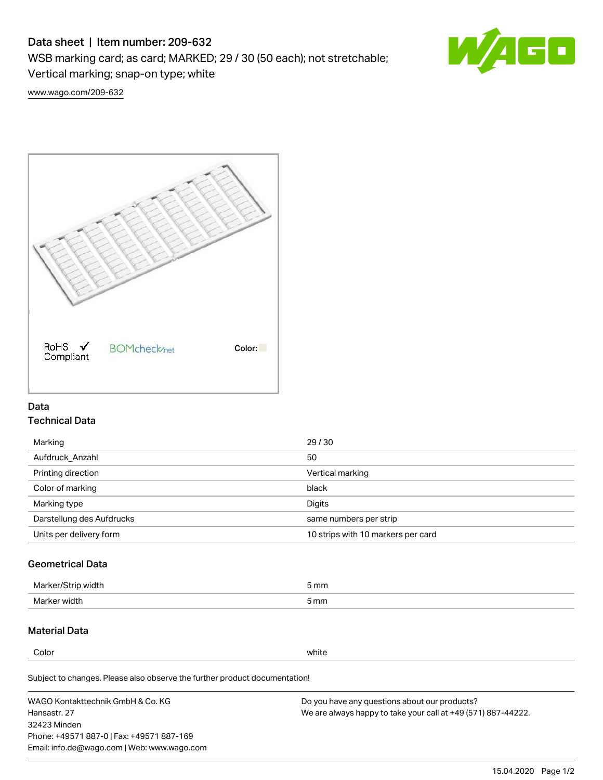# Data sheet | Item number: 209-632

WSB marking card; as card; MARKED; 29 / 30 (50 each); not stretchable;

Vertical marking; snap-on type; white



[www.wago.com/209-632](http://www.wago.com/209-632)



### Data Technical Data

| Marking                   | 29/30                              |
|---------------------------|------------------------------------|
| Aufdruck Anzahl           | 50                                 |
| Printing direction        | Vertical marking                   |
| Color of marking          | black                              |
| Marking type              | Digits                             |
| Darstellung des Aufdrucks | same numbers per strip             |
| Units per delivery form   | 10 strips with 10 markers per card |

## Geometrical Data

| <b>Marker</b><br>width | 5 mm |
|------------------------|------|
| Marker width           | 5 mm |

## Material Data

Color white

Subject to changes. Please also observe the further product documentation!

WAGO Kontakttechnik GmbH & Co. KG Hansastr. 27 32423 Minden Phone: +49571 887-0 | Fax: +49571 887-169 Email: info.de@wago.com | Web: www.wago.com Do you have any questions about our products? We are always happy to take your call at +49 (571) 887-44222.